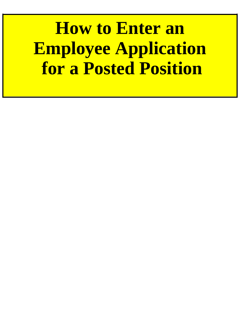**How to Enter an Employee Application for a Posted Position**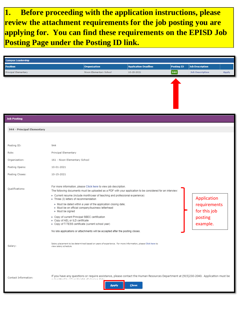**1. Before proceeding with the application instructions, please review the attachment requirements for the job posting you are applying for. You can find these requirements on the EPISD Job Posting Page under the Posting ID link.**

| <b>Campus Leadership</b>    |                                                                                                                                                                                                   |                                                                                                                                                                                                                                                                                                                                                      |                                                                                                                                               |                   |                                                                    |              |
|-----------------------------|---------------------------------------------------------------------------------------------------------------------------------------------------------------------------------------------------|------------------------------------------------------------------------------------------------------------------------------------------------------------------------------------------------------------------------------------------------------------------------------------------------------------------------------------------------------|-----------------------------------------------------------------------------------------------------------------------------------------------|-------------------|--------------------------------------------------------------------|--------------|
| <b>Position</b>             |                                                                                                                                                                                                   | <b>Organization</b>                                                                                                                                                                                                                                                                                                                                  | <b>Application Deadline</b>                                                                                                                   | <b>Posting ID</b> | <b>Job Description</b>                                             |              |
| <b>Principal Elementary</b> |                                                                                                                                                                                                   | Nixon Elementary School                                                                                                                                                                                                                                                                                                                              | 10-15-2021                                                                                                                                    | 944               | <b>Job Description</b>                                             | <b>Apply</b> |
|                             |                                                                                                                                                                                                   |                                                                                                                                                                                                                                                                                                                                                      |                                                                                                                                               |                   |                                                                    |              |
| <b>Job Posting</b>          |                                                                                                                                                                                                   |                                                                                                                                                                                                                                                                                                                                                      |                                                                                                                                               |                   |                                                                    |              |
| 944 - Principal Elementary  |                                                                                                                                                                                                   |                                                                                                                                                                                                                                                                                                                                                      |                                                                                                                                               |                   |                                                                    |              |
| Posting ID:                 | 944                                                                                                                                                                                               |                                                                                                                                                                                                                                                                                                                                                      |                                                                                                                                               |                   |                                                                    |              |
| Role:                       | Principal Elementary                                                                                                                                                                              |                                                                                                                                                                                                                                                                                                                                                      |                                                                                                                                               |                   |                                                                    |              |
| Organization:               | 161 - Nixon Elementary School                                                                                                                                                                     |                                                                                                                                                                                                                                                                                                                                                      |                                                                                                                                               |                   |                                                                    |              |
| Posting Opens:              | 10-01-2021                                                                                                                                                                                        |                                                                                                                                                                                                                                                                                                                                                      |                                                                                                                                               |                   |                                                                    |              |
| Posting Closes:             | 10-15-2021                                                                                                                                                                                        |                                                                                                                                                                                                                                                                                                                                                      |                                                                                                                                               |                   |                                                                    |              |
| Qualifications:             | Three (3) letters of recommendation<br>⊳ Must be signed<br>Copy of current Principal SBEC certification<br>◇ Copy of AEL or ILD certificate<br>◇ Copy of T-TESS certificate (current school year) | For more information, please Click here to view job description.<br>Current resume (include month/year of teaching and professional experience)<br>Must be dated within a year of the application closing date;<br>Must be on official company/business letterhead<br>No late applications or attachments will be accepted after the posting closes. | The following documents must be uploaded as a PDF with your application to be considered for an interview:                                    |                   | Application<br>requirements<br>for this job<br>posting<br>example. |              |
| Salary:                     | view salary schedule.                                                                                                                                                                             | Salary placement to be determined based on years of experience. For more information, please Click here to                                                                                                                                                                                                                                           |                                                                                                                                               |                   |                                                                    |              |
| Contact Information:        | ولقطاء المستحدث والمتقيد القطاعة تسامح أحداره أحادها المستقف ومسأرورة                                                                                                                             | <u>A</u> pply                                                                                                                                                                                                                                                                                                                                        | If you have any questions or require assistance, please contact the Human Resources Department at (915)230-2040. Application must be<br>Close |                   |                                                                    |              |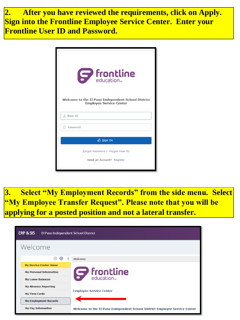**2. After you have reviewed the requirements, click on Apply. Sign into the Frontline Employee Service Center. Enter your Frontline User ID and Password.**

| $\boldsymbol{S}$ frontline<br><b>Welcome to the El Paso Independent School District</b><br><b>Employee Service Center</b> |
|---------------------------------------------------------------------------------------------------------------------------|
| L User ID                                                                                                                 |
| Password                                                                                                                  |
| <b>D</b> Sign On                                                                                                          |
| Forgot Password   Forgot User ID<br>Need an Account? Register                                                             |

**3. Select "My Employment Records" from the side menu. Select "My Employee Transfer Request". Please note that you will be applying for a posted position and not a lateral transfer.**

| ERP & SIS<br>El Paso Independent School District |                                                                            |  |  |  |  |  |  |
|--------------------------------------------------|----------------------------------------------------------------------------|--|--|--|--|--|--|
| Welcome                                          |                                                                            |  |  |  |  |  |  |
| $\bigcirc$<br>⊕<br>«                             | Welcome                                                                    |  |  |  |  |  |  |
| <b>My Service Center Home</b>                    |                                                                            |  |  |  |  |  |  |
| <b>My Personal Information</b>                   | <b>S</b> frontline                                                         |  |  |  |  |  |  |
| <b>My Leave Balances</b>                         |                                                                            |  |  |  |  |  |  |
| <b>My Absence Reporting</b>                      |                                                                            |  |  |  |  |  |  |
| <b>My Time Cards</b>                             | <b>Employee Service Center</b>                                             |  |  |  |  |  |  |
| <b>My Employment Records</b>                     |                                                                            |  |  |  |  |  |  |
| <b>My Pay Information</b>                        | Welcome to the El Paso Independent School District Employee Service Center |  |  |  |  |  |  |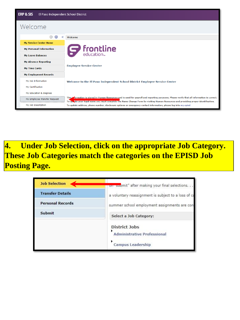| <b>ERP &amp; SIS</b><br>El Paso Independent School District |                                                                                                                                                                                                                                                                                    |  |  |  |  |  |  |  |
|-------------------------------------------------------------|------------------------------------------------------------------------------------------------------------------------------------------------------------------------------------------------------------------------------------------------------------------------------------|--|--|--|--|--|--|--|
| Welcome                                                     |                                                                                                                                                                                                                                                                                    |  |  |  |  |  |  |  |
| $\odot$<br>$\odot$                                          | Welcome                                                                                                                                                                                                                                                                            |  |  |  |  |  |  |  |
| <b>My Service Center Home</b>                               |                                                                                                                                                                                                                                                                                    |  |  |  |  |  |  |  |
| <b>My Personal Information</b>                              | $\boldsymbol{S}$ frontline                                                                                                                                                                                                                                                         |  |  |  |  |  |  |  |
| <b>My Leave Balances</b>                                    |                                                                                                                                                                                                                                                                                    |  |  |  |  |  |  |  |
| <b>My Absence Reporting</b>                                 |                                                                                                                                                                                                                                                                                    |  |  |  |  |  |  |  |
| <b>My Time Cards</b>                                        | <b>Employee Service Center</b>                                                                                                                                                                                                                                                     |  |  |  |  |  |  |  |
| <b>My Employment Records</b>                                |                                                                                                                                                                                                                                                                                    |  |  |  |  |  |  |  |
| My Job Information                                          | Welcome to the El Paso Independent School District Employee Service Center                                                                                                                                                                                                         |  |  |  |  |  |  |  |
| <b>My Certification</b>                                     |                                                                                                                                                                                                                                                                                    |  |  |  |  |  |  |  |
| <b>My Education &amp; Degrees</b>                           |                                                                                                                                                                                                                                                                                    |  |  |  |  |  |  |  |
| My Employee Transfer Request                                | This information is stored in Human Resources and is used for payroll and reporting purposes. Please verify that all information is correct.<br>To up, ate your legal name you must complete the Name Change Form by visiting Human Resources and providing proper identification. |  |  |  |  |  |  |  |
| My Job Description                                          | To update address, phone number, disclosure options or emergency contact information, please log into my.episd                                                                                                                                                                     |  |  |  |  |  |  |  |

**4. Under Job Selection, click on the appropriate Job Category. These Job Categories match the categories on the EPISD Job Posting Page.**

| <b>Job Selection</b>    | on submit" after making your final selections.                                         |  |  |  |  |  |
|-------------------------|----------------------------------------------------------------------------------------|--|--|--|--|--|
| <b>Transfer Details</b> | a voluntary reassignment is subject to a loss of ca                                    |  |  |  |  |  |
| <b>Personal Records</b> | summer school employment assignments are con                                           |  |  |  |  |  |
| Submit                  | Select a Job Category:                                                                 |  |  |  |  |  |
|                         | <b>District Jobs</b><br><b>Administrative Professional</b><br><b>Campus Leadership</b> |  |  |  |  |  |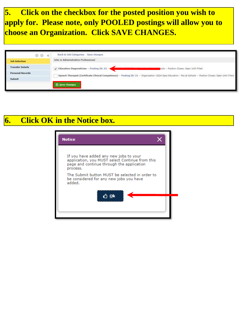**5. Click on the checkbox for the posted position you wish to apply for. Please note, only POOLED postings will allow you to choose an Organization. Click SAVE CHANGES.**

| $\circ$ $\circ$ $\circ$ | Back to Job Categories Save changes                                                                                                                              |
|-------------------------|------------------------------------------------------------------------------------------------------------------------------------------------------------------|
| <b>Job Selection</b>    | Jobs in Administrative Professional                                                                                                                              |
| <b>Transfer Details</b> | $\checkmark$ Education Diagnostician -- Posting ID: 22 --<br>ools -- Position Closes: Open Until Filled                                                          |
| <b>Personal Records</b> | Speech Therapist (Certificate Clinical Competence) -- Posting ID: 21 -- Organization: 822A-Spec Education - Pos at Schools -- Position Closes: Open Until Filled |
| Submit                  |                                                                                                                                                                  |
|                         | 图 Save Changes                                                                                                                                                   |

## **6. Click OK in the Notice box.**

| If you have added any new jobs to your<br>application, you MUST select Continue from this<br>page and continue through the application<br>process. |  |
|----------------------------------------------------------------------------------------------------------------------------------------------------|--|
| The Submit button MUST be selected in order to<br>be considered for any new jobs you have<br>added.                                                |  |
| t⁄) <u>0</u> k                                                                                                                                     |  |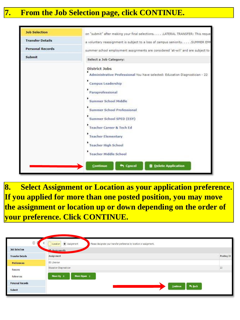## **7. From the Job Selection page, click CONTINUE.**

| <b>Job Selection</b>    | on "submit" after making your final selections. LATERAL TRANSFER: This reque                                                                                                                                                                                                                                                                                                                                                                      |
|-------------------------|---------------------------------------------------------------------------------------------------------------------------------------------------------------------------------------------------------------------------------------------------------------------------------------------------------------------------------------------------------------------------------------------------------------------------------------------------|
| <b>Transfer Details</b> | a voluntary reassignment is subject to a loss of campus seniority. SUMMER EMF                                                                                                                                                                                                                                                                                                                                                                     |
| <b>Personal Records</b> | summer school employment assignments are considered 'at-will' and are subject to                                                                                                                                                                                                                                                                                                                                                                  |
| Submit                  | Select a Job Category:                                                                                                                                                                                                                                                                                                                                                                                                                            |
|                         | <b>District Jobs</b><br>Administrative Professional You have selected: Education Diagnostician - 22<br><b>Campus Leadership</b><br>Paraprofessional<br><b>Summer School Middle</b><br><b>Summer School Professional</b><br>Summer School SPED (ESY)<br><b>Teacher Career &amp; Tech Ed</b><br><b>Teacher Elementary</b><br><b>Teacher High School</b><br><b>Teacher Middle School</b><br>n Cancel<br><b>Delete Application</b><br><b>Continue</b> |

**8. Select Assignment or Location as your application preference. If you applied for more than one posted position, you may move the assignment or location up or down depending on the order of your preference. Click CONTINUE.**

|                         | $\circledcirc$ Assignment<br>Please designate your transfer preference by location or assignment.<br>Location |            |
|-------------------------|---------------------------------------------------------------------------------------------------------------|------------|
| <b>Job Selection</b>    | $S_{\text{A}\text{-}signments}$                                                                               |            |
| <b>Transfer Details</b> | Assignment                                                                                                    | Posting ID |
| <b>Preferences</b>      | ES Librarian                                                                                                  |            |
| Reasons                 | Education Diagnostician                                                                                       | 22         |
| References              | Move Up $\land$<br>Move Down $\Diamond$                                                                       |            |
| <b>Personal Records</b> | h Back                                                                                                        |            |
| Submit                  | Continue                                                                                                      |            |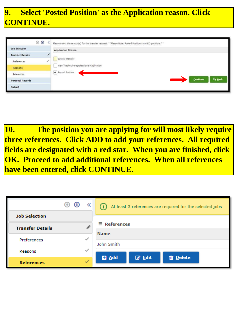## **9. Select 'Posted Position' as the Application reason. Click CONTINUE.**

|                         | ⊙ ⊙ | $\ll$ | Please select the reason(s) for this transfer request. **Please Note: Posted Positions are BID positions.** |
|-------------------------|-----|-------|-------------------------------------------------------------------------------------------------------------|
| <b>Job Selection</b>    |     |       | <b>Application Reason</b>                                                                                   |
| <b>Transfer Details</b> |     | ,     |                                                                                                             |
| Preferences             |     |       | Lateral Transfer                                                                                            |
| <b>Reasons</b>          |     |       | New Teacher/Paraprofessional Application                                                                    |
| References              |     |       | Posted Position                                                                                             |
| <b>Personal Records</b> |     |       | <b>m</b> Back<br>Continue                                                                                   |
| Submit                  |     |       |                                                                                                             |

**10. The position you are applying for will most likely require three references. Click ADD to add your references. All required fields are designated with a red star. When you are finished, click OK. Proceed to add additional references. When all references have been entered, click CONTINUE.**

|                         | ⊕<br>⊕ | ≪            | (i) At least 3 references are required for the selected jobs |  |  |  |
|-------------------------|--------|--------------|--------------------------------------------------------------|--|--|--|
| <b>Job Selection</b>    |        |              |                                                              |  |  |  |
| <b>Transfer Details</b> |        |              | $\equiv$ References                                          |  |  |  |
|                         |        |              | <b>Name</b>                                                  |  |  |  |
| Preferences             |        | $\checkmark$ | John Smith                                                   |  |  |  |
| Reasons                 |        | $\checkmark$ |                                                              |  |  |  |
|                         |        |              | <b>Ø</b> Edit<br><b>D</b> Add<br><b>m</b> Delete             |  |  |  |
| <b>References</b>       |        | $\checkmark$ |                                                              |  |  |  |